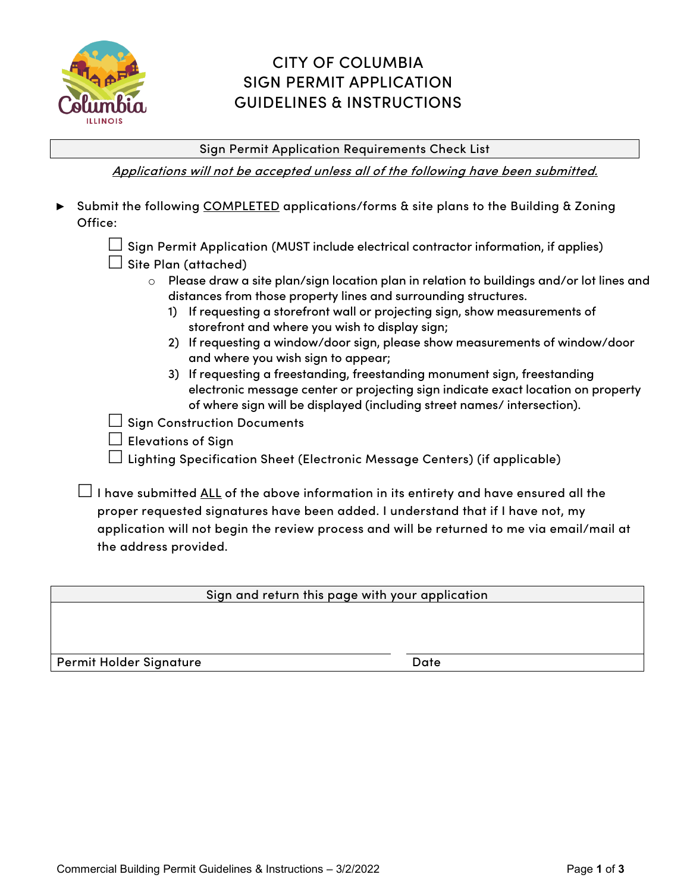

## CITY OF COLUMBIA SIGN PERMIT APPLICATION GUIDELINES & INSTRUCTIONS

Sign Permit Application Requirements Check List

Applications will not be accepted unless all of the following have been submitted.

- **►** Submit the following COMPLETED applications/forms & site plans to the Building & Zoning Office:
	- $\Box$  Sign Permit Application (MUST include electrical contractor information, if applies)
	- $\Box$  Site Plan (attached)
		- $\circ$  Please draw a site plan/sign location plan in relation to buildings and/or lot lines and distances from those property lines and surrounding structures.
			- 1) If requesting a storefront wall or projecting sign, show measurements of storefront and where you wish to display sign;
			- 2) If requesting a window/door sign, please show measurements of window/door and where you wish sign to appear;
			- 3) If requesting a freestanding, freestanding monument sign, freestanding electronic message center or projecting sign indicate exact location on property of where sign will be displayed (including street names/ intersection).

 $\Box$  Sign Construction Documents

 $\Box$  Elevations of Sian

Lighting Specification Sheet (Electronic Message Centers) (if applicable)

 $\Box$  I have submitted <u>ALL</u> of the above information in its entirety and have ensured all the proper requested signatures have been added. I understand that if I have not, my application will not begin the review process and will be returned to me via email/mail at the address provided.

Sign and return this page with your application

Permit Holder Signature **Date** Date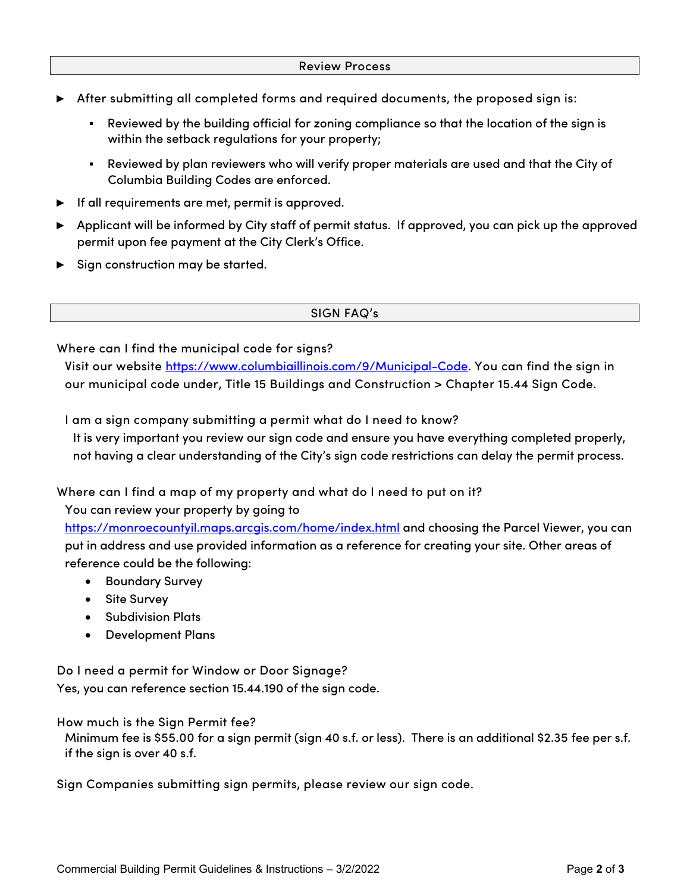- **►** After submitting all completed forms and required documents, the proposed sign is:
	- Reviewed by the building official for zoning compliance so that the location of the sign is within the setback regulations for your property;
	- Reviewed by plan reviewers who will verify proper materials are used and that the City of Columbia Building Codes are enforced.
- **►** If all requirements are met, permit is approved.
- **►** Applicant will be informed by City staff of permit status. If approved, you can pick up the approved permit upon fee payment at the City Clerk's Office.
- ► Sign construction may be started.

SIGN FAQ's

Where can I find the municipal code for signs?

Visit our website [https://www.columbiaillinois.com/9/Municipal-Code.](https://www.columbiaillinois.com/9/Municipal-Code) You can find the sign in our municipal code under, Title 15 Buildings and Construction > Chapter 15.44 Sign Code.

I am a sign company submitting a permit what do I need to know?

It is very important you review our sign code and ensure you have everything completed properly, not having a clear understanding of the City's sign code restrictions can delay the permit process.

Where can I find a map of my property and what do I need to put on it?

You can review your property by going to

<https://monroecountyil.maps.arcgis.com/home/index.html> and choosing the Parcel Viewer, you can put in address and use provided information as a reference for creating your site. Other areas of reference could be the following:

- Boundary Survey
- Site Survey
- Subdivision Plats
- Development Plans

Do I need a permit for Window or Door Signage? Yes, you can reference section 15.44.190 of the sign code.

How much is the Sign Permit fee?

Minimum fee is \$55.00 for a sign permit (sign 40 s.f. or less). There is an additional \$2.35 fee per s.f. if the sign is over 40 s.f.

Sign Companies submitting sign permits, please review our sign code.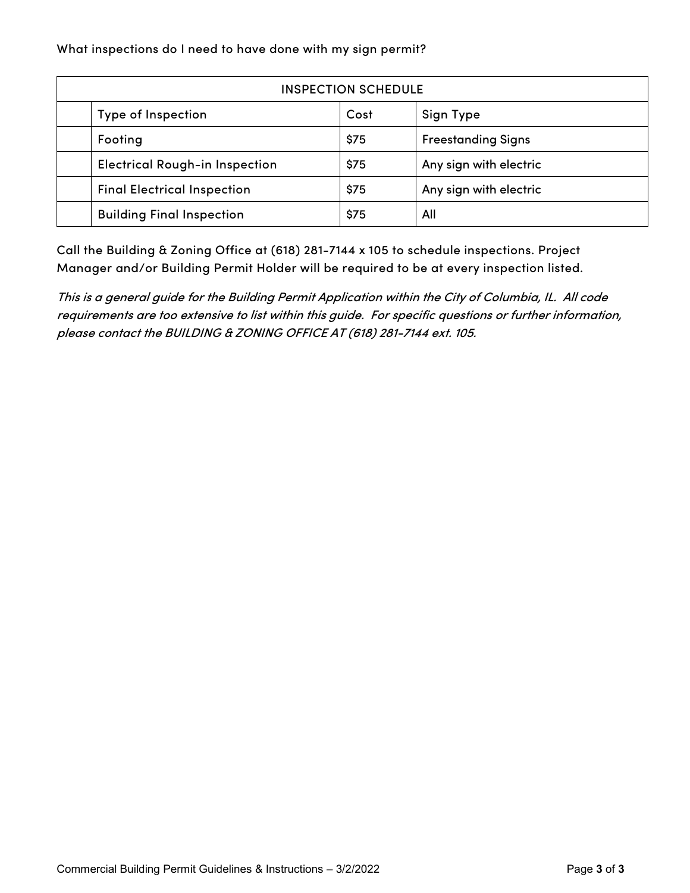What inspections do I need to have done with my sign permit?

| <b>INSPECTION SCHEDULE</b>            |      |                           |  |  |  |  |
|---------------------------------------|------|---------------------------|--|--|--|--|
| Type of Inspection                    | Cost | Sign Type                 |  |  |  |  |
| Footing                               | \$75 | <b>Freestanding Signs</b> |  |  |  |  |
| <b>Electrical Rough-in Inspection</b> | \$75 | Any sign with electric    |  |  |  |  |
| <b>Final Electrical Inspection</b>    | \$75 | Any sign with electric    |  |  |  |  |
| <b>Building Final Inspection</b>      | \$75 | All                       |  |  |  |  |

Call the Building & Zoning Office at (618) 281-7144 x 105 to schedule inspections. Project Manager and/or Building Permit Holder will be required to be at every inspection listed.

This is a general guide for the Building Permit Application within the City of Columbia, IL. All code requirements are too extensive to list within this guide. For specific questions or further information, please contact the BUILDING & ZONING OFFICE AT (618) 281-7144 ext. 105.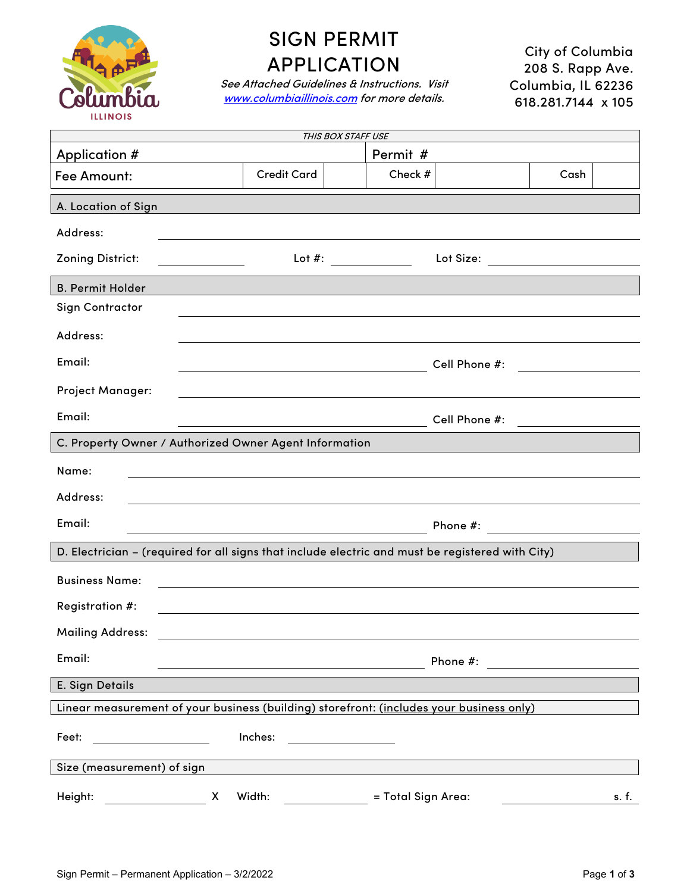

## SIGN PERMIT APPLICATION

See Attached Guidelines & Instructions. Visit [www.columbiaillinois.com](http://www.columbiaillinois.com/) for more details.

City of Columbia 208 S. Rapp Ave. Columbia, IL 62236 618.281.7144 x 105

| THIS BOX STAFF USE                                                                               |                                                                                                                       |                       |                                   |                                                                                                                      |       |  |  |  |
|--------------------------------------------------------------------------------------------------|-----------------------------------------------------------------------------------------------------------------------|-----------------------|-----------------------------------|----------------------------------------------------------------------------------------------------------------------|-------|--|--|--|
| Application #                                                                                    |                                                                                                                       | Permit #              |                                   |                                                                                                                      |       |  |  |  |
| Fee Amount:                                                                                      | <b>Credit Card</b>                                                                                                    | Check #               |                                   | Cash                                                                                                                 |       |  |  |  |
| A. Location of Sign                                                                              |                                                                                                                       |                       |                                   |                                                                                                                      |       |  |  |  |
| Address:                                                                                         |                                                                                                                       |                       |                                   |                                                                                                                      |       |  |  |  |
| <b>Zoning District:</b><br><u> 1989 - John Barn Barn, amerikansk politiker</u>                   |                                                                                                                       | Lot #: ______________ | Lot Size: _______________________ |                                                                                                                      |       |  |  |  |
| <b>B. Permit Holder</b>                                                                          |                                                                                                                       |                       |                                   |                                                                                                                      |       |  |  |  |
| <b>Sign Contractor</b>                                                                           |                                                                                                                       |                       |                                   |                                                                                                                      |       |  |  |  |
| Address:                                                                                         |                                                                                                                       |                       |                                   |                                                                                                                      |       |  |  |  |
| Email:                                                                                           | <u> 1980 - Johann Barn, mars ann an t-Amhain an t-Amhain an t-Amhain an t-Amhain an t-Amhain an t-Amhain an t-Amh</u> |                       | Cell Phone #:                     | <u> 1989 - Jan Samuel Barbara, politik e</u>                                                                         |       |  |  |  |
| <b>Project Manager:</b>                                                                          |                                                                                                                       |                       |                                   |                                                                                                                      |       |  |  |  |
| Email:                                                                                           |                                                                                                                       |                       | Cell Phone #:                     | <u> 1980 - Jan Stein Stein Stein Stein Stein Stein Stein Stein Stein Stein Stein Stein Stein Stein Stein Stein S</u> |       |  |  |  |
| C. Property Owner / Authorized Owner Agent Information                                           |                                                                                                                       |                       |                                   |                                                                                                                      |       |  |  |  |
| Name:                                                                                            |                                                                                                                       |                       |                                   |                                                                                                                      |       |  |  |  |
| Address:                                                                                         |                                                                                                                       |                       |                                   |                                                                                                                      |       |  |  |  |
| Email:                                                                                           |                                                                                                                       |                       |                                   |                                                                                                                      |       |  |  |  |
| D. Electrician - (required for all signs that include electric and must be registered with City) |                                                                                                                       |                       |                                   |                                                                                                                      |       |  |  |  |
| <b>Business Name:</b>                                                                            |                                                                                                                       |                       |                                   |                                                                                                                      |       |  |  |  |
| Registration #:                                                                                  |                                                                                                                       |                       |                                   |                                                                                                                      |       |  |  |  |
| <b>Mailing Address:</b>                                                                          |                                                                                                                       |                       |                                   |                                                                                                                      |       |  |  |  |
| Email:                                                                                           | <u> 1989 - Johann Barn, mars ann an t-Amhain Aonaich an t-Aonaich an t-Aonaich an t-Aonaich an t-Aonaich an t-Aon</u> |                       |                                   |                                                                                                                      |       |  |  |  |
| E. Sign Details                                                                                  |                                                                                                                       |                       |                                   |                                                                                                                      |       |  |  |  |
| Linear measurement of your business (building) storefront: (includes your business only)         |                                                                                                                       |                       |                                   |                                                                                                                      |       |  |  |  |
| Feet:                                                                                            | Inches:                                                                                                               |                       |                                   |                                                                                                                      |       |  |  |  |
| Size (measurement) of sign                                                                       |                                                                                                                       |                       |                                   |                                                                                                                      |       |  |  |  |
| Height:<br>Width:<br>= Total Sign Area:<br>X                                                     |                                                                                                                       |                       |                                   |                                                                                                                      | s. f. |  |  |  |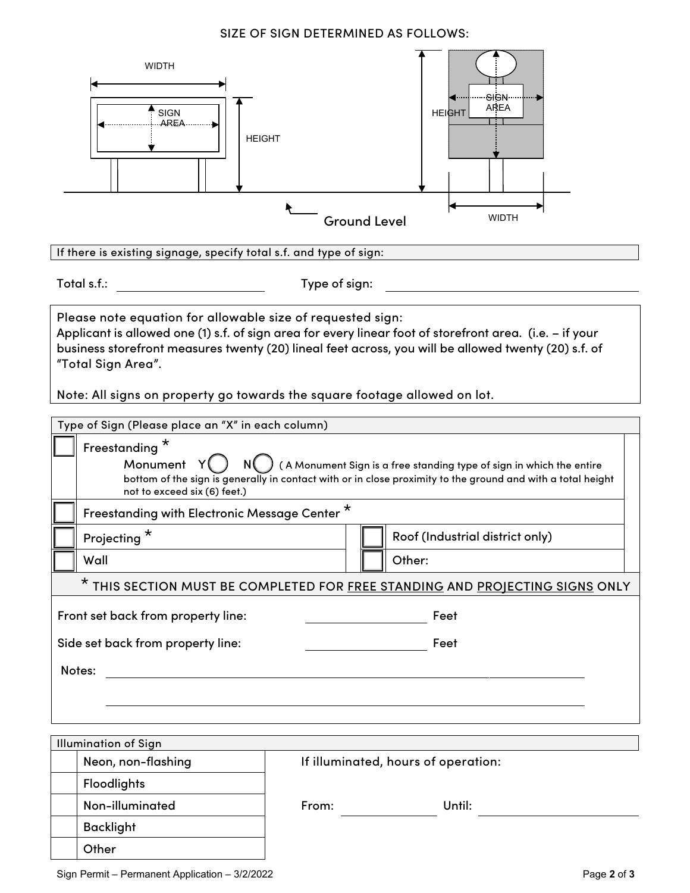## SIZE OF SIGN DETERMINED AS FOLLOWS:



If there is existing signage, specify total s.f. and type of sign:

Total s.f.: Type of sign:

Please note equation for allowable size of requested sign:

Applicant is allowed one (1) s.f. of sign area for every linear foot of storefront area. (i.e. – if your business storefront measures twenty (20) lineal feet across, you will be allowed twenty (20) s.f. of "Total Sign Area".

Note: All signs on property go towards the square footage allowed on lot.

| Type of Sign (Please place an "X" in each column)                            |                                                                                                                                                                                     |  |  |  |  |  |  |
|------------------------------------------------------------------------------|-------------------------------------------------------------------------------------------------------------------------------------------------------------------------------------|--|--|--|--|--|--|
| Freestanding <sup>*</sup><br>Monument<br>not to exceed six (6) feet.)        | (A Monument Sign is a free standing type of sign in which the entire<br>bottom of the sign is generally in contact with or in close proximity to the ground and with a total height |  |  |  |  |  |  |
|                                                                              | Freestanding with Electronic Message Center*                                                                                                                                        |  |  |  |  |  |  |
| Projecting <sup>*</sup>                                                      | Roof (Industrial district only)                                                                                                                                                     |  |  |  |  |  |  |
| Wall                                                                         | Other:                                                                                                                                                                              |  |  |  |  |  |  |
| * THIS SECTION MUST BE COMPLETED FOR FREE STANDING AND PROJECTING SIGNS ONLY |                                                                                                                                                                                     |  |  |  |  |  |  |
| Front set back from property line:<br>Feet                                   |                                                                                                                                                                                     |  |  |  |  |  |  |
| Side set back from property line:                                            | Feet                                                                                                                                                                                |  |  |  |  |  |  |
| Notes:                                                                       |                                                                                                                                                                                     |  |  |  |  |  |  |
|                                                                              |                                                                                                                                                                                     |  |  |  |  |  |  |
|                                                                              |                                                                                                                                                                                     |  |  |  |  |  |  |
| <b>Illumination of Sign</b>                                                  |                                                                                                                                                                                     |  |  |  |  |  |  |
| Neon, non-flashing<br>If illuminated, hours of operation:                    |                                                                                                                                                                                     |  |  |  |  |  |  |
| <b>Floodlights</b>                                                           |                                                                                                                                                                                     |  |  |  |  |  |  |
| Non-illuminated                                                              | From:<br>Until:                                                                                                                                                                     |  |  |  |  |  |  |
| <b>Backlight</b>                                                             |                                                                                                                                                                                     |  |  |  |  |  |  |

Sign Permit – Permanent Application – 3/2/2022 **Page 2** of **3** Page 2 of **3** 

**Other**